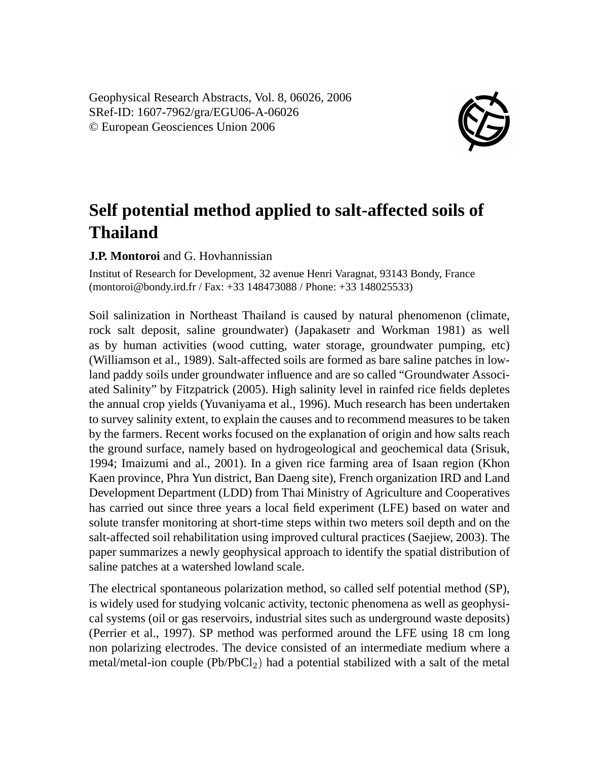Geophysical Research Abstracts, Vol. 8, 06026, 2006 SRef-ID: 1607-7962/gra/EGU06-A-06026 © European Geosciences Union 2006



## **Self potential method applied to salt-affected soils of Thailand**

## **J.P. Montoroi** and G. Hovhannissian

Institut of Research for Development, 32 avenue Henri Varagnat, 93143 Bondy, France (montoroi@bondy.ird.fr / Fax: +33 148473088 / Phone: +33 148025533)

Soil salinization in Northeast Thailand is caused by natural phenomenon (climate, rock salt deposit, saline groundwater) (Japakasetr and Workman 1981) as well as by human activities (wood cutting, water storage, groundwater pumping, etc) (Williamson et al., 1989). Salt-affected soils are formed as bare saline patches in lowland paddy soils under groundwater influence and are so called "Groundwater Associated Salinity" by Fitzpatrick (2005). High salinity level in rainfed rice fields depletes the annual crop yields (Yuvaniyama et al., 1996). Much research has been undertaken to survey salinity extent, to explain the causes and to recommend measures to be taken by the farmers. Recent works focused on the explanation of origin and how salts reach the ground surface, namely based on hydrogeological and geochemical data (Srisuk, 1994; Imaizumi and al., 2001). In a given rice farming area of Isaan region (Khon Kaen province, Phra Yun district, Ban Daeng site), French organization IRD and Land Development Department (LDD) from Thai Ministry of Agriculture and Cooperatives has carried out since three years a local field experiment (LFE) based on water and solute transfer monitoring at short-time steps within two meters soil depth and on the salt-affected soil rehabilitation using improved cultural practices (Saejiew, 2003). The paper summarizes a newly geophysical approach to identify the spatial distribution of saline patches at a watershed lowland scale.

The electrical spontaneous polarization method, so called self potential method (SP), is widely used for studying volcanic activity, tectonic phenomena as well as geophysical systems (oil or gas reservoirs, industrial sites such as underground waste deposits) (Perrier et al., 1997). SP method was performed around the LFE using 18 cm long non polarizing electrodes. The device consisted of an intermediate medium where a metal/metal-ion couple  $(Pb/PbCl<sub>2</sub>)$  had a potential stabilized with a salt of the metal